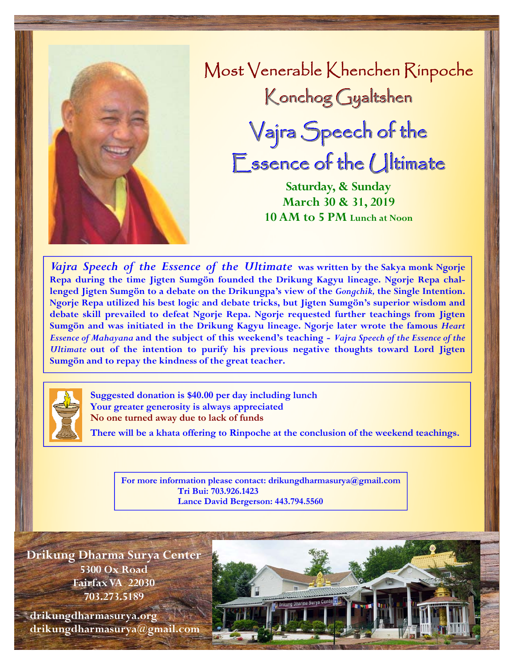

Most Venerable Khenchen Rinpoche Konchog Gyaltshen Vajra Speech of the

 $E$ ssence of the Ultimate

**Saturday, & Sunday March 30 & 31, 2019 10 AM to 5 PM Lunch at Noon**

*Vajra Speech of the Essence of the Ultimate* **was written by the Sakya monk Ngorje Repa during the time Jigten Sumgön founded the Drikung Kagyu lineage. Ngorje Repa challenged Jigten Sumgön to a debate on the Drikungpa's view of the** *Gongchik,* **the Single Intention. Ngorje Repa utilized his best logic and debate tricks, but Jigten Sumgön's superior wisdom and debate skill prevailed to defeat Ngorje Repa. Ngorje requested further teachings from Jigten Sumgön and was initiated in the Drikung Kagyu lineage. Ngorje later wrote the famous** *Heart Essence of Mahayana* **and the subject of this weekend's teaching -** *Vajra Speech of the Essence of the Ultimate* **out of the intention to purify his previous negative thoughts toward Lord Jigten Sumgön and to repay the kindness of the great teacher.** 



**Suggested donation is \$40.00 per day including lunch Your greater generosity is always appreciated No one turned away due to lack of funds** 

**There will be a khata offering to Rinpoche at the conclusion of the weekend teachings.** 

**For more information please contact: drikungdharmasurya@gmail.com Tri Bui: 703.926.1423 Lance David Bergerson: 443.794.5560** 

**Drikung Dharma Surya Center 5300 Ox Road Fairfax VA 22030 703.273.5189** 

 **drikungdharmasurya.org drikungdharmasurya@gmail.com**